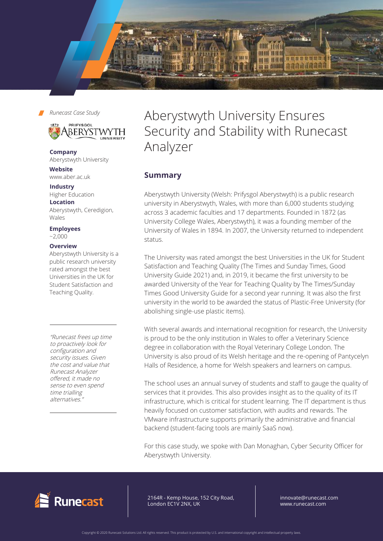



**Company** Aberystwyth University

**Website** www.aber.ac.uk

#### **Industry**

Higher Education **Location** Aberystwyth, Ceredigion,

Wales

**Employees**   $~2.000$ 

#### **Overview**

Aberystwyth University is a public research university rated amongst the best Universities in the UK for Student Satisfaction and Teaching Quality.

"Runecast frees up time to proactively look for configuration and security issues. Given the cost and value that Runecast Analyzer offered, it made no sense to even spend time trialling alternatives."

# Aberystwyth University Ensures Security and Stability with Runecast Analyzer

## **Summary**

Aberystwyth University (Welsh: Prifysgol Aberystwyth) is a public research university in Aberystwyth, Wales, with more than 6,000 students studying across 3 academic faculties and 17 departments. Founded in 1872 (as University College Wales, Aberystwyth), it was a founding member of the University of Wales in 1894. In 2007, the University returned to independent status.

The University was rated amongst the best Universities in the UK for Student Satisfaction and Teaching Quality (The Times and Sunday Times, Good University Guide 2021) and, in 2019, it became the first university to be awarded University of the Year for Teaching Quality by The Times/Sunday Times Good University Guide for a second year running. It was also the first university in the world to be awarded the status of Plastic-Free University (for abolishing single-use plastic items).

With several awards and international recognition for research, the University is proud to be the only institution in Wales to offer a Veterinary Science degree in collaboration with the Royal Veterinary College London. The University is also proud of its Welsh heritage and the re-opening of Pantycelyn Halls of Residence, a home for Welsh speakers and learners on campus.

The school uses an annual survey of students and staff to gauge the quality of services that it provides. This also provides insight as to the quality of its IT infrastructure, which is critical for student learning. The IT department is thus heavily focused on customer satisfaction, with audits and rewards. The VMware infrastructure supports primarily the administrative and financial backend (student-facing tools are mainly SaaS now).

For this case study, we spoke with Dan Monaghan, Cyber Security Officer for Aberystwyth University.



64R - Kemp House, 152 City Road, ndon EC1V 2NX, UK 2164R - Kemp House, 152 City Road, London EC1V 2NX, UK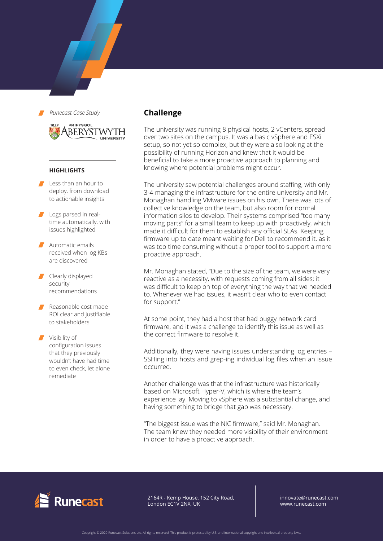

#### **HIGHLIGHTS**

- Less than an hour to deploy, from download to actionable insights
- Logs parsed in realtime automatically, with issues highlighted
- Automatic emails received when log KBs are discovered
- Clearly displayed security recommendations
- Reasonable cost made ROI clear and justifiable to stakeholders

Visibility of configuration issues that they previously wouldn't have had time to even check, let alone remediate

## **Challenge**

The university was running 8 physical hosts, 2 vCenters, spread over two sites on the campus. It was a basic vSphere and ESXi setup, so not yet so complex, but they were also looking at the possibility of running Horizon and knew that it would be beneficial to take a more proactive approach to planning and knowing where potential problems might occur.

The university saw potential challenges around staffing, with only 3-4 managing the infrastructure for the entire university and Mr. Monaghan handling VMware issues on his own. There was lots of collective knowledge on the team, but also room for normal information silos to develop. Their systems comprised "too many moving parts" for a small team to keep up with proactively, which made it difficult for them to establish any official SLAs. Keeping firmware up to date meant waiting for Dell to recommend it, as it was too time consuming without a proper tool to support a more proactive approach.

Mr. Monaghan stated, "Due to the size of the team, we were very reactive as a necessity, with requests coming from all sides; it was difficult to keep on top of everything the way that we needed to. Whenever we had issues, it wasn't clear who to even contact for support."

At some point, they had a host that had buggy network card firmware, and it was a challenge to identify this issue as well as the correct firmware to resolve it.

Additionally, they were having issues understanding log entries – SSHing into hosts and grep-ing individual log files when an issue occurred.

Another challenge was that the infrastructure was historically based on Microsoft Hyper-V, which is where the team's experience lay. Moving to vSphere was a substantial change, and having something to bridge that gap was necessary.

"The biggest issue was the NIC firmware," said Mr. Monaghan. The team knew they needed more visibility of their environment in order to have a proactive approach.



2164R - Kemp House, 152 City Road, London EC1V 2NX, UK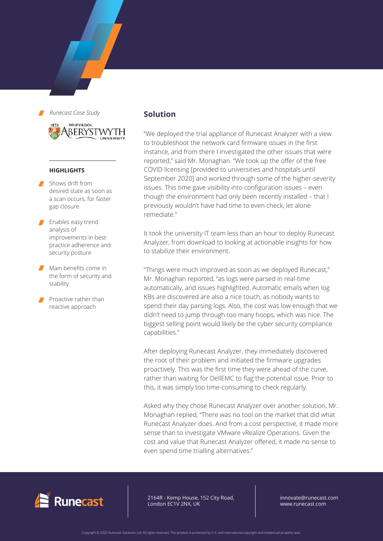

#### **HIGHLIGHTS**

- Shows drift from desired state as soon as a scan occurs, for faster gap closure
- **Enables easy trend** analysis of improvements in bestpractice adherence and security posture
- **Main benefits come in** the form of security and stability
- Proactive rather than reactive approach

### **Solution**

"We deployed the trial appliance of Runecast Analyzer with a view to troubleshoot the network card firmware issues in the first instance, and from there I investigated the other issues that were reported," said Mr. Monaghan. "We took up the offer of the free COVID licensing [provided to universities and hospitals until September 2020] and worked through some of the higher-severity issues. This time gave visibility into configuration issues – even though the environment had only been recently installed – that I previously wouldn't have had time to even check, let alone remediate."

It took the university IT team less than an hour to deploy Runecast Analyzer, from download to looking at actionable insights for how to stabilize their environment.

"Things were much improved as soon as we deployed Runecast," Mr. Monaghan reported, "as logs were parsed in real-time automatically, and issues highlighted. Automatic emails when log KBs are discovered are also a nice touch, as nobody wants to spend their day parsing logs. Also, the cost was low enough that we didn't need to jump through too many hoops, which was nice. The biggest selling point would likely be the cyber security compliance capabilities."

After deploying Runecast Analyzer, they immediately discovered the root of their problem and initiated the firmware upgrades proactively. This was the first time they were ahead of the curve, rather than waiting for DellEMC to flag the potential issue. Prior to this, it was simply too time-consuming to check regularly.

Asked why they chose Runecast Analyzer over another solution, Mr. Monaghan replied, "There was no tool on the market that did what Runecast Analyzer does. And from a cost perspective, it made more sense than to investigate VMware vRealize Operations. Given the cost and value that Runecast Analyzer offered, it made no sense to even spend time trialling alternatives."



2164R - Kemp House, 152 City Road, London EC1V 2NX, UK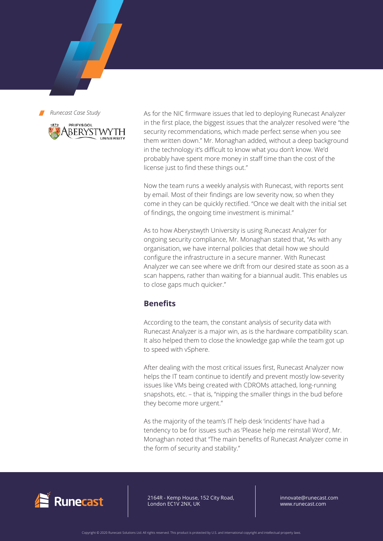

As for the NIC firmware issues that led to deploying Runecast Analyzer in the first place, the biggest issues that the analyzer resolved were "the security recommendations, which made perfect sense when you see them written down." Mr. Monaghan added, without a deep background in the technology it's difficult to know what you don't know. We'd probably have spent more money in staff time than the cost of the license just to find these things out."

Now the team runs a weekly analysis with Runecast, with reports sent by email. Most of their findings are low severity now, so when they come in they can be quickly rectified. "Once we dealt with the initial set of findings, the ongoing time investment is minimal."

As to how Aberystwyth University is using Runecast Analyzer for ongoing security compliance, Mr. Monaghan stated that, "As with any organisation, we have internal policies that detail how we should configure the infrastructure in a secure manner. With Runecast Analyzer we can see where we drift from our desired state as soon as a scan happens, rather than waiting for a biannual audit. This enables us to close gaps much quicker."

## **Benefits**

According to the team, the constant analysis of security data with Runecast Analyzer is a major win, as is the hardware compatibility scan. It also helped them to close the knowledge gap while the team got up to speed with vSphere.

After dealing with the most critical issues first, Runecast Analyzer now helps the IT team continue to identify and prevent mostly low-severity issues like VMs being created with CDROMs attached, long-running snapshots, etc. – that is, "nipping the smaller things in the bud before they become more urgent."

As the majority of the team's IT help desk 'incidents' have had a tendency to be for issues such as 'Please help me reinstall Word', Mr. Monaghan noted that "The main benefits of Runecast Analyzer come in the form of security and stability."



2164R - Kemp House, 152 City Road, London EC1V 2NX, UK